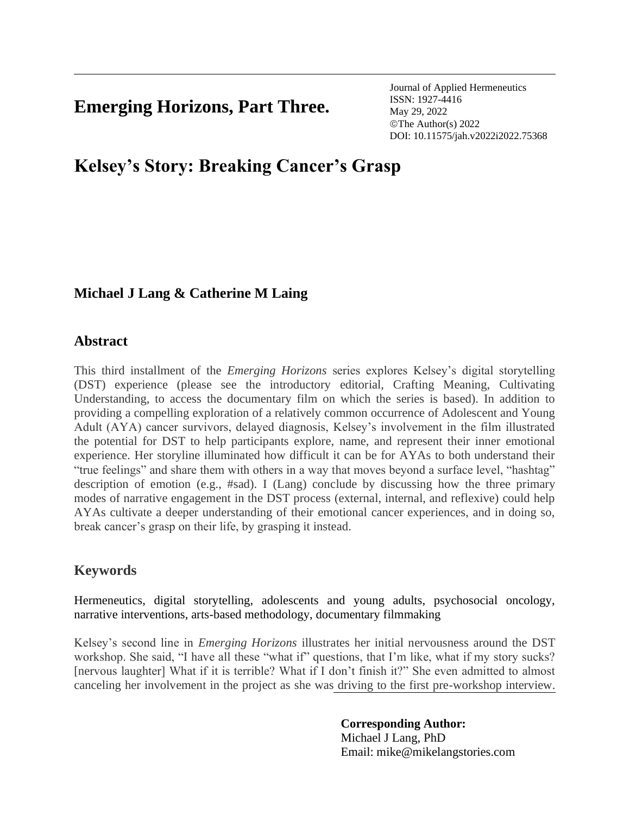**Emerging Horizons, Part Three.** 

Journal of Applied Hermeneutics ISSN: 1927-4416 May 29, 2022 ©The Author(s) 2022 DOI: 10.11575/jah.v2022i2022.75368

# **Kelsey's Story: Breaking Cancer's Grasp**

# **Michael J Lang & Catherine M Laing**

## **Abstract**

This third installment of the *Emerging Horizons* series explores Kelsey's digital storytelling (DST) experience (please see the introductory editorial, Crafting Meaning, Cultivating Understanding, to access the documentary film on which the series is based). In addition to providing a compelling exploration of a relatively common occurrence of Adolescent and Young Adult (AYA) cancer survivors, delayed diagnosis, Kelsey's involvement in the film illustrated the potential for DST to help participants explore, name, and represent their inner emotional experience. Her storyline illuminated how difficult it can be for AYAs to both understand their "true feelings" and share them with others in a way that moves beyond a surface level, "hashtag" description of emotion (e.g., #sad). I (Lang) conclude by discussing how the three primary modes of narrative engagement in the DST process (external, internal, and reflexive) could help AYAs cultivate a deeper understanding of their emotional cancer experiences, and in doing so, break cancer's grasp on their life, by grasping it instead.

# **Keywords**

Hermeneutics, digital storytelling, adolescents and young adults, psychosocial oncology, narrative interventions, arts-based methodology, documentary filmmaking

Kelsey's second line in *Emerging Horizons* illustrates her initial nervousness around the DST workshop. She said, "I have all these "what if" questions, that I'm like, what if my story sucks? [nervous laughter] What if it is terrible? What if I don't finish it?" She even admitted to almost canceling her involvement in the project as she was driving to the first pre-workshop interview.

## **Corresponding Author:**

Michael J Lang, PhD Email: mike@mikelangstories.com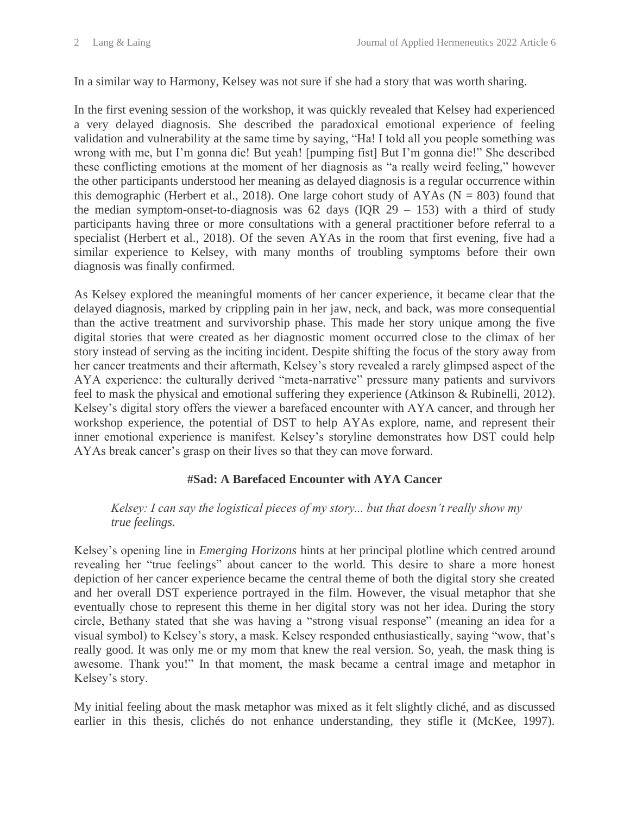In a similar way to Harmony, Kelsey was not sure if she had a story that was worth sharing.

In the first evening session of the workshop, it was quickly revealed that Kelsey had experienced a very delayed diagnosis. She described the paradoxical emotional experience of feeling validation and vulnerability at the same time by saying, "Ha! I told all you people something was wrong with me, but I'm gonna die! But yeah! [pumping fist] But I'm gonna die!" She described these conflicting emotions at the moment of her diagnosis as "a really weird feeling," however the other participants understood her meaning as delayed diagnosis is a regular occurrence within this demographic (Herbert et al., 2018). One large cohort study of AYAs ( $N = 803$ ) found that the median symptom-onset-to-diagnosis was  $62$  days (IQR  $29 - 153$ ) with a third of study participants having three or more consultations with a general practitioner before referral to a specialist (Herbert et al., 2018). Of the seven AYAs in the room that first evening, five had a similar experience to Kelsey, with many months of troubling symptoms before their own diagnosis was finally confirmed.

As Kelsey explored the meaningful moments of her cancer experience, it became clear that the delayed diagnosis, marked by crippling pain in her jaw, neck, and back, was more consequential than the active treatment and survivorship phase. This made her story unique among the five digital stories that were created as her diagnostic moment occurred close to the climax of her story instead of serving as the inciting incident. Despite shifting the focus of the story away from her cancer treatments and their aftermath, Kelsey's story revealed a rarely glimpsed aspect of the AYA experience: the culturally derived "meta-narrative" pressure many patients and survivors feel to mask the physical and emotional suffering they experience (Atkinson & Rubinelli, 2012). Kelsey's digital story offers the viewer a barefaced encounter with AYA cancer, and through her workshop experience, the potential of DST to help AYAs explore, name, and represent their inner emotional experience is manifest. Kelsey's storyline demonstrates how DST could help AYAs break cancer's grasp on their lives so that they can move forward.

## **#Sad: A Barefaced Encounter with AYA Cancer**

*Kelsey: I can say the logistical pieces of my story... but that doesn't really show my true feelings.*

Kelsey's opening line in *Emerging Horizons* hints at her principal plotline which centred around revealing her "true feelings" about cancer to the world. This desire to share a more honest depiction of her cancer experience became the central theme of both the digital story she created and her overall DST experience portrayed in the film. However, the visual metaphor that she eventually chose to represent this theme in her digital story was not her idea. During the story circle, Bethany stated that she was having a "strong visual response" (meaning an idea for a visual symbol) to Kelsey's story, a mask. Kelsey responded enthusiastically, saying "wow, that's really good. It was only me or my mom that knew the real version. So, yeah, the mask thing is awesome. Thank you!" In that moment, the mask became a central image and metaphor in Kelsey's story.

My initial feeling about the mask metaphor was mixed as it felt slightly cliché, and as discussed earlier in this thesis, clichés do not enhance understanding, they stifle it (McKee, 1997).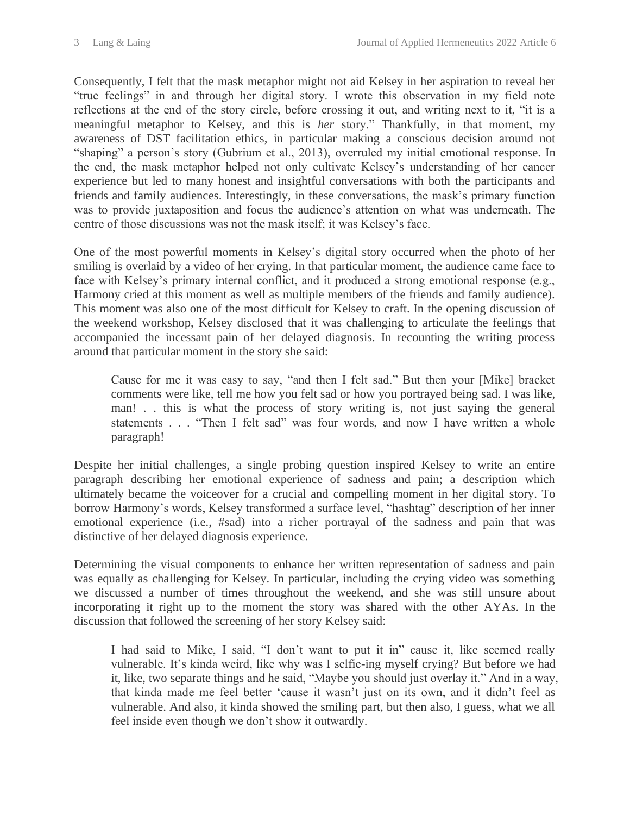Consequently, I felt that the mask metaphor might not aid Kelsey in her aspiration to reveal her "true feelings" in and through her digital story. I wrote this observation in my field note reflections at the end of the story circle, before crossing it out, and writing next to it, "it is a meaningful metaphor to Kelsey, and this is *her* story." Thankfully, in that moment, my awareness of DST facilitation ethics, in particular making a conscious decision around not "shaping" a person's story (Gubrium et al., 2013), overruled my initial emotional response. In the end, the mask metaphor helped not only cultivate Kelsey's understanding of her cancer experience but led to many honest and insightful conversations with both the participants and friends and family audiences. Interestingly, in these conversations, the mask's primary function was to provide juxtaposition and focus the audience's attention on what was underneath. The centre of those discussions was not the mask itself; it was Kelsey's face.

One of the most powerful moments in Kelsey's digital story occurred when the photo of her smiling is overlaid by a video of her crying. In that particular moment, the audience came face to face with Kelsey's primary internal conflict, and it produced a strong emotional response (e.g., Harmony cried at this moment as well as multiple members of the friends and family audience). This moment was also one of the most difficult for Kelsey to craft. In the opening discussion of the weekend workshop, Kelsey disclosed that it was challenging to articulate the feelings that accompanied the incessant pain of her delayed diagnosis. In recounting the writing process around that particular moment in the story she said:

Cause for me it was easy to say, "and then I felt sad." But then your [Mike] bracket comments were like, tell me how you felt sad or how you portrayed being sad. I was like, man! . . this is what the process of story writing is, not just saying the general statements . . . "Then I felt sad" was four words, and now I have written a whole paragraph!

Despite her initial challenges, a single probing question inspired Kelsey to write an entire paragraph describing her emotional experience of sadness and pain; a description which ultimately became the voiceover for a crucial and compelling moment in her digital story. To borrow Harmony's words, Kelsey transformed a surface level, "hashtag" description of her inner emotional experience (i.e., #sad) into a richer portrayal of the sadness and pain that was distinctive of her delayed diagnosis experience.

Determining the visual components to enhance her written representation of sadness and pain was equally as challenging for Kelsey. In particular, including the crying video was something we discussed a number of times throughout the weekend, and she was still unsure about incorporating it right up to the moment the story was shared with the other AYAs. In the discussion that followed the screening of her story Kelsey said:

I had said to Mike, I said, "I don't want to put it in" cause it, like seemed really vulnerable. It's kinda weird, like why was I selfie-ing myself crying? But before we had it, like, two separate things and he said, "Maybe you should just overlay it." And in a way, that kinda made me feel better 'cause it wasn't just on its own, and it didn't feel as vulnerable. And also, it kinda showed the smiling part, but then also, I guess, what we all feel inside even though we don't show it outwardly.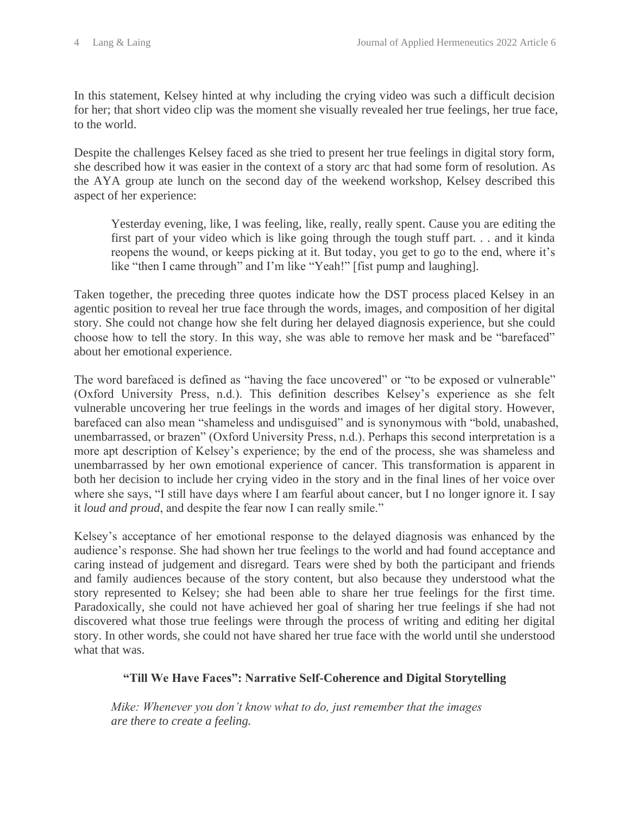In this statement, Kelsey hinted at why including the crying video was such a difficult decision for her; that short video clip was the moment she visually revealed her true feelings, her true face, to the world.

Despite the challenges Kelsey faced as she tried to present her true feelings in digital story form, she described how it was easier in the context of a story arc that had some form of resolution. As the AYA group ate lunch on the second day of the weekend workshop, Kelsey described this aspect of her experience:

Yesterday evening, like, I was feeling, like, really, really spent. Cause you are editing the first part of your video which is like going through the tough stuff part. . . and it kinda reopens the wound, or keeps picking at it. But today, you get to go to the end, where it's like "then I came through" and I'm like "Yeah!" [fist pump and laughing].

Taken together, the preceding three quotes indicate how the DST process placed Kelsey in an agentic position to reveal her true face through the words, images, and composition of her digital story. She could not change how she felt during her delayed diagnosis experience, but she could choose how to tell the story. In this way, she was able to remove her mask and be "barefaced" about her emotional experience.

The word barefaced is defined as "having the face uncovered" or "to be exposed or vulnerable" (Oxford University Press, n.d.). This definition describes Kelsey's experience as she felt vulnerable uncovering her true feelings in the words and images of her digital story. However, barefaced can also mean "shameless and undisguised" and is synonymous with "bold, unabashed, unembarrassed, or brazen" (Oxford University Press, n.d.). Perhaps this second interpretation is a more apt description of Kelsey's experience; by the end of the process, she was shameless and unembarrassed by her own emotional experience of cancer. This transformation is apparent in both her decision to include her crying video in the story and in the final lines of her voice over where she says, "I still have days where I am fearful about cancer, but I no longer ignore it. I say it *loud and proud*, and despite the fear now I can really smile."

Kelsey's acceptance of her emotional response to the delayed diagnosis was enhanced by the audience's response. She had shown her true feelings to the world and had found acceptance and caring instead of judgement and disregard. Tears were shed by both the participant and friends and family audiences because of the story content, but also because they understood what the story represented to Kelsey; she had been able to share her true feelings for the first time. Paradoxically, she could not have achieved her goal of sharing her true feelings if she had not discovered what those true feelings were through the process of writing and editing her digital story. In other words, she could not have shared her true face with the world until she understood what that was.

## **"Till We Have Faces": Narrative Self-Coherence and Digital Storytelling**

*Mike: Whenever you don't know what to do, just remember that the images are there to create a feeling.*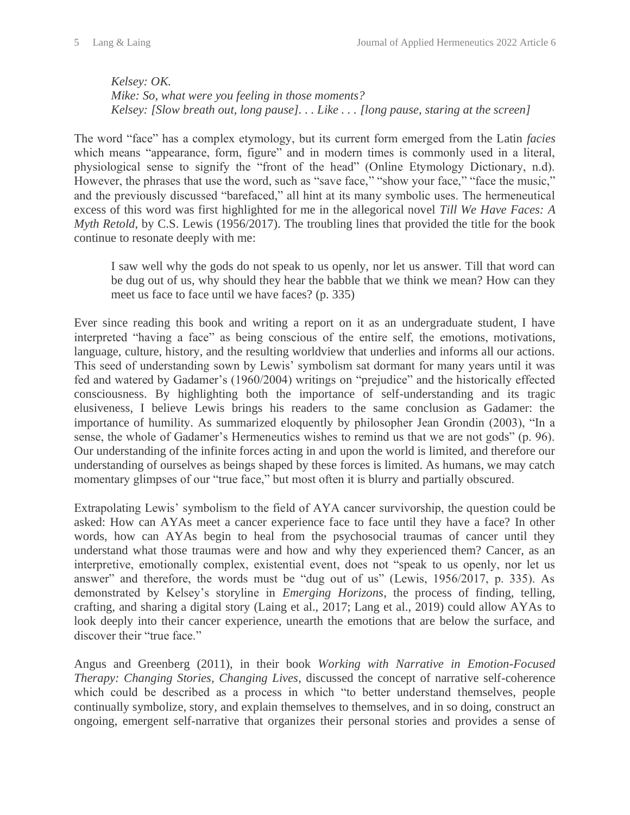*Kelsey: OK. Mike: So, what were you feeling in those moments? Kelsey: [Slow breath out, long pause]. . . Like . . . [long pause, staring at the screen]*

The word "face" has a complex etymology, but its current form emerged from the Latin *facies* which means "appearance, form, figure" and in modern times is commonly used in a literal, physiological sense to signify the "front of the head" (Online Etymology Dictionary, n.d). However, the phrases that use the word, such as "save face," "show your face," "face the music," and the previously discussed "barefaced," all hint at its many symbolic uses. The hermeneutical excess of this word was first highlighted for me in the allegorical novel *Till We Have Faces: A Myth Retold*, by C.S. Lewis (1956/2017). The troubling lines that provided the title for the book continue to resonate deeply with me:

I saw well why the gods do not speak to us openly, nor let us answer. Till that word can be dug out of us, why should they hear the babble that we think we mean? How can they meet us face to face until we have faces? (p. 335)

Ever since reading this book and writing a report on it as an undergraduate student, I have interpreted "having a face" as being conscious of the entire self, the emotions, motivations, language, culture, history, and the resulting worldview that underlies and informs all our actions. This seed of understanding sown by Lewis' symbolism sat dormant for many years until it was fed and watered by Gadamer's (1960/2004) writings on "prejudice" and the historically effected consciousness. By highlighting both the importance of self-understanding and its tragic elusiveness, I believe Lewis brings his readers to the same conclusion as Gadamer: the importance of humility. As summarized eloquently by philosopher Jean Grondin (2003), "In a sense, the whole of Gadamer's Hermeneutics wishes to remind us that we are not gods" (p. 96). Our understanding of the infinite forces acting in and upon the world is limited, and therefore our understanding of ourselves as beings shaped by these forces is limited. As humans, we may catch momentary glimpses of our "true face," but most often it is blurry and partially obscured.

Extrapolating Lewis' symbolism to the field of AYA cancer survivorship, the question could be asked: How can AYAs meet a cancer experience face to face until they have a face? In other words, how can AYAs begin to heal from the psychosocial traumas of cancer until they understand what those traumas were and how and why they experienced them? Cancer, as an interpretive, emotionally complex, existential event, does not "speak to us openly, nor let us answer" and therefore, the words must be "dug out of us" (Lewis, 1956/2017, p. 335). As demonstrated by Kelsey's storyline in *Emerging Horizons*, the process of finding, telling, crafting, and sharing a digital story (Laing et al., 2017; Lang et al., 2019) could allow AYAs to look deeply into their cancer experience, unearth the emotions that are below the surface, and discover their "true face."

Angus and Greenberg (2011), in their book *Working with Narrative in Emotion-Focused Therapy: Changing Stories, Changing Lives*, discussed the concept of narrative self-coherence which could be described as a process in which "to better understand themselves, people continually symbolize, story, and explain themselves to themselves, and in so doing, construct an ongoing, emergent self-narrative that organizes their personal stories and provides a sense of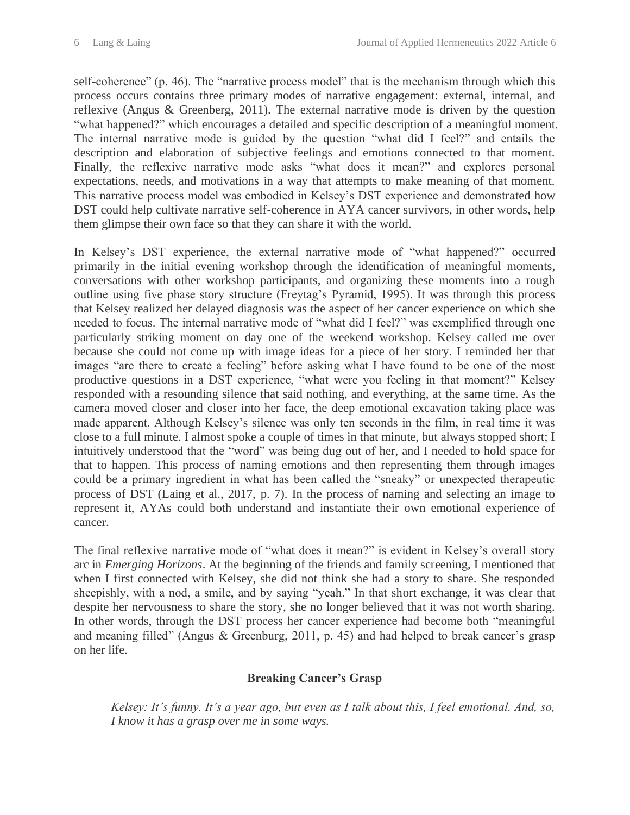self-coherence" (p. 46). The "narrative process model" that is the mechanism through which this process occurs contains three primary modes of narrative engagement: external, internal, and reflexive (Angus & Greenberg, 2011). The external narrative mode is driven by the question "what happened?" which encourages a detailed and specific description of a meaningful moment. The internal narrative mode is guided by the question "what did I feel?" and entails the description and elaboration of subjective feelings and emotions connected to that moment. Finally, the reflexive narrative mode asks "what does it mean?" and explores personal expectations, needs, and motivations in a way that attempts to make meaning of that moment. This narrative process model was embodied in Kelsey's DST experience and demonstrated how DST could help cultivate narrative self-coherence in AYA cancer survivors, in other words, help them glimpse their own face so that they can share it with the world.

In Kelsey's DST experience, the external narrative mode of "what happened?" occurred primarily in the initial evening workshop through the identification of meaningful moments, conversations with other workshop participants, and organizing these moments into a rough outline using five phase story structure (Freytag's Pyramid, 1995). It was through this process that Kelsey realized her delayed diagnosis was the aspect of her cancer experience on which she needed to focus. The internal narrative mode of "what did I feel?" was exemplified through one particularly striking moment on day one of the weekend workshop. Kelsey called me over because she could not come up with image ideas for a piece of her story. I reminded her that images "are there to create a feeling" before asking what I have found to be one of the most productive questions in a DST experience, "what were you feeling in that moment?" Kelsey responded with a resounding silence that said nothing, and everything, at the same time. As the camera moved closer and closer into her face, the deep emotional excavation taking place was made apparent. Although Kelsey's silence was only ten seconds in the film, in real time it was close to a full minute. I almost spoke a couple of times in that minute, but always stopped short; I intuitively understood that the "word" was being dug out of her, and I needed to hold space for that to happen. This process of naming emotions and then representing them through images could be a primary ingredient in what has been called the "sneaky" or unexpected therapeutic process of DST (Laing et al., 2017, p. 7). In the process of naming and selecting an image to represent it, AYAs could both understand and instantiate their own emotional experience of cancer.

The final reflexive narrative mode of "what does it mean?" is evident in Kelsey's overall story arc in *Emerging Horizons*. At the beginning of the friends and family screening, I mentioned that when I first connected with Kelsey, she did not think she had a story to share. She responded sheepishly, with a nod, a smile, and by saying "yeah." In that short exchange, it was clear that despite her nervousness to share the story, she no longer believed that it was not worth sharing. In other words, through the DST process her cancer experience had become both "meaningful and meaning filled" (Angus & Greenburg, 2011, p. 45) and had helped to break cancer's grasp on her life.

## **Breaking Cancer's Grasp**

*Kelsey: It's funny. It's a year ago, but even as I talk about this, I feel emotional. And, so, I know it has a grasp over me in some ways.*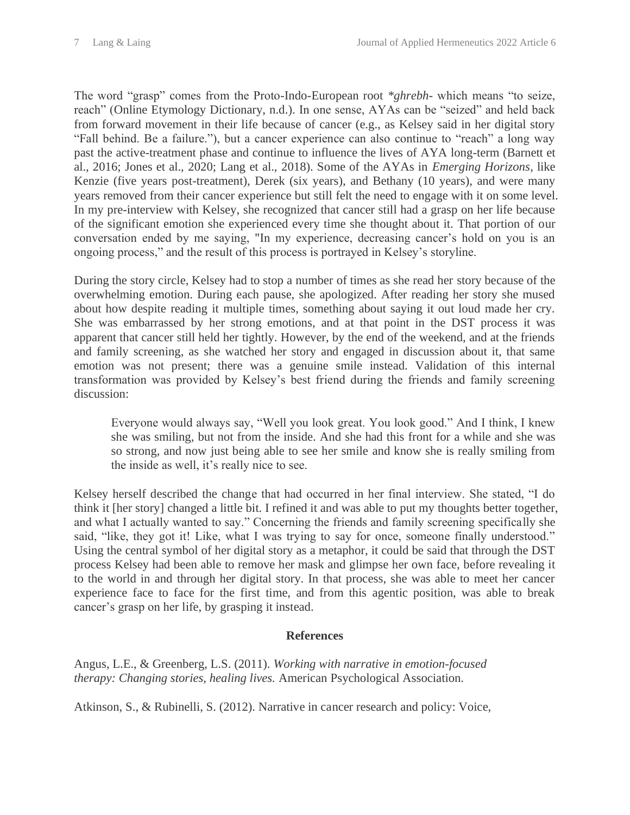The word "grasp" comes from the Proto-Indo-European root *\*ghrebh-* which means "to seize, reach" (Online Etymology Dictionary, n.d.). In one sense, AYAs can be "seized" and held back from forward movement in their life because of cancer (e.g., as Kelsey said in her digital story "Fall behind. Be a failure."), but a cancer experience can also continue to "reach" a long way past the active-treatment phase and continue to influence the lives of AYA long-term (Barnett et al., 2016; Jones et al., 2020; Lang et al., 2018). Some of the AYAs in *Emerging Horizons*, like Kenzie (five years post-treatment), Derek (six years), and Bethany (10 years), and were many years removed from their cancer experience but still felt the need to engage with it on some level. In my pre-interview with Kelsey, she recognized that cancer still had a grasp on her life because of the significant emotion she experienced every time she thought about it. That portion of our conversation ended by me saying, "In my experience, decreasing cancer's hold on you is an ongoing process," and the result of this process is portrayed in Kelsey's storyline.

During the story circle, Kelsey had to stop a number of times as she read her story because of the overwhelming emotion. During each pause, she apologized. After reading her story she mused about how despite reading it multiple times, something about saying it out loud made her cry. She was embarrassed by her strong emotions, and at that point in the DST process it was apparent that cancer still held her tightly. However, by the end of the weekend, and at the friends and family screening, as she watched her story and engaged in discussion about it, that same emotion was not present; there was a genuine smile instead. Validation of this internal transformation was provided by Kelsey's best friend during the friends and family screening discussion:

Everyone would always say, "Well you look great. You look good." And I think, I knew she was smiling, but not from the inside. And she had this front for a while and she was so strong, and now just being able to see her smile and know she is really smiling from the inside as well, it's really nice to see.

Kelsey herself described the change that had occurred in her final interview. She stated, "I do think it [her story] changed a little bit. I refined it and was able to put my thoughts better together, and what I actually wanted to say." Concerning the friends and family screening specifically she said, "like, they got it! Like, what I was trying to say for once, someone finally understood." Using the central symbol of her digital story as a metaphor, it could be said that through the DST process Kelsey had been able to remove her mask and glimpse her own face, before revealing it to the world in and through her digital story. In that process, she was able to meet her cancer experience face to face for the first time, and from this agentic position, was able to break cancer's grasp on her life, by grasping it instead.

## **References**

Angus, L.E., & Greenberg, L.S. (2011). *Working with narrative in emotion-focused therapy: Changing stories, healing lives.* American Psychological Association.

Atkinson, S., & Rubinelli, S. (2012). Narrative in cancer research and policy: Voice,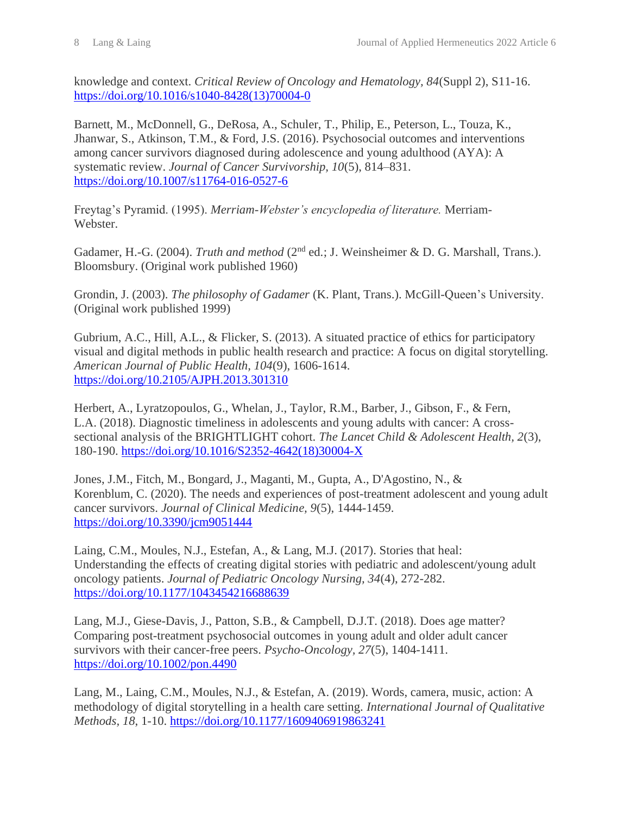knowledge and context. *Critical Review of Oncology and Hematology, 84*(Suppl 2), S11-16. [https://doi.org/10.1016/s1040-8428\(13\)70004-0](https://doi.org/10.1016/s1040-8428(13)70004-0)

Barnett, M., McDonnell, G., DeRosa, A., Schuler, T., Philip, E., Peterson, L., Touza, K., Jhanwar, S., Atkinson, T.M., & Ford, J.S. (2016). Psychosocial outcomes and interventions among cancer survivors diagnosed during adolescence and young adulthood (AYA): A systematic review. *Journal of Cancer Survivorship, 10*(5), 814–831. <https://doi.org/10.1007/s11764-016-0527-6>

Freytag's Pyramid. (1995). *Merriam-Webster's encyclopedia of literature.* Merriam-Webster.

Gadamer, H.-G. (2004). *Truth and method* (2<sup>nd</sup> ed.; J. Weinsheimer & D. G. Marshall, Trans.). Bloomsbury. (Original work published 1960)

Grondin, J. (2003). *The philosophy of Gadamer* (K. Plant, Trans.). McGill-Queen's University. (Original work published 1999)

Gubrium, A.C., Hill, A.L., & Flicker, S. (2013). A situated practice of ethics for participatory visual and digital methods in public health research and practice: A focus on digital storytelling. *American Journal of Public Health, 104*(9), 1606-1614. <https://doi.org/10.2105/AJPH.2013.301310>

Herbert, A., Lyratzopoulos, G., Whelan, J., Taylor, R.M., Barber, J., Gibson, F., & Fern, L.A. (2018). Diagnostic timeliness in adolescents and young adults with cancer: A crosssectional analysis of the BRIGHTLIGHT cohort. *The Lancet Child & Adolescent Health, 2*(3), 180-190. [https://doi.org/10.1016/S2352-4642\(18\)30004-X](https://doi.org/10.1016/S2352-4642(18)30004-X)

Jones, J.M., Fitch, M., Bongard, J., Maganti, M., Gupta, A., D'Agostino, N., & Korenblum, C. (2020). The needs and experiences of post-treatment adolescent and young adult cancer survivors. *Journal of Clinical Medicine, 9*(5), 1444-1459. <https://doi.org/10.3390/jcm9051444>

Laing, C.M., Moules, N.J., Estefan, A., & Lang, M.J. (2017). Stories that heal: Understanding the effects of creating digital stories with pediatric and adolescent/young adult oncology patients. *Journal of Pediatric Oncology Nursing, 34*(4), 272-282. <https://doi.org/10.1177/1043454216688639>

Lang, M.J., Giese-Davis, J., Patton, S.B., & Campbell, D.J.T. (2018). Does age matter? Comparing post-treatment psychosocial outcomes in young adult and older adult cancer survivors with their cancer-free peers. *Psycho-Oncology, 27*(5), 1404-1411. <https://doi.org/10.1002/pon.4490>

Lang, M., Laing, C.M., Moules, N.J., & Estefan, A. (2019). Words, camera, music, action: A methodology of digital storytelling in a health care setting. *International Journal of Qualitative Methods, 18*, 1-10.<https://doi.org/10.1177/1609406919863241>